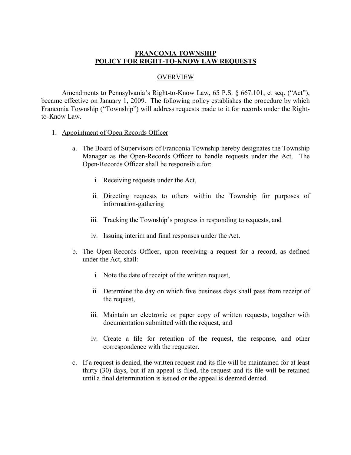## **FRANCONIA TOWNSHIP POLICY FOR RIGHT-TO-KNOW LAW REQUESTS**

#### **OVERVIEW**

Amendments to Pennsylvania's Right-to-Know Law,  $65$  P.S.  $§$  667.101, et seq. ("Act"), became effective on January 1, 2009. The following policy establishes the procedure by which Franconia Township ("Township") will address requests made to it for records under the Rightto-Know Law.

#### 1. Appointment of Open Records Officer

- a. The Board of Supervisors of Franconia Township hereby designates the Township Manager as the Open-Records Officer to handle requests under the Act. The Open-Records Officer shall be responsible for:
	- i. Receiving requests under the Act,
	- ii. Directing requests to others within the Township for purposes of information-gathering
	- iii. Tracking the Township's progress in responding to requests, and
	- iv. Issuing interim and final responses under the Act.
- b. The Open-Records Officer, upon receiving a request for a record, as defined under the Act, shall:
	- i. Note the date of receipt of the written request,
	- ii. Determine the day on which five business days shall pass from receipt of the request,
	- iii. Maintain an electronic or paper copy of written requests, together with documentation submitted with the request, and
	- iv. Create a file for retention of the request, the response, and other correspondence with the requester.
- c. If a request is denied, the written request and its file will be maintained for at least thirty (30) days, but if an appeal is filed, the request and its file will be retained until a final determination is issued or the appeal is deemed denied.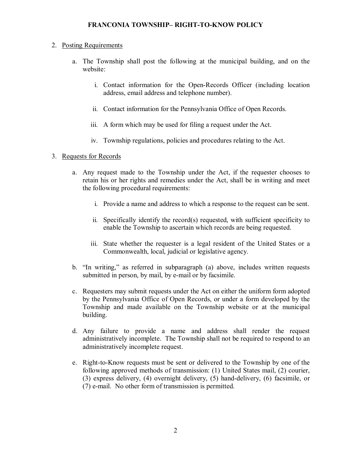## 2. Posting Requirements

- a. The Township shall post the following at the municipal building, and on the website:
	- i. Contact information for the Open-Records Officer (including location address, email address and telephone number).
	- ii. Contact information for the Pennsylvania Office of Open Records.
	- iii. A form which may be used for filing a request under the Act.
	- iv. Township regulations, policies and procedures relating to the Act.

# 3. Requests for Records

- a. Any request made to the Township under the Act, if the requester chooses to retain his or her rights and remedies under the Act, shall be in writing and meet the following procedural requirements:
	- i. Provide a name and address to which a response to the request can be sent.
	- ii. Specifically identify the record(s) requested, with sufficient specificity to enable the Township to ascertain which records are being requested.
	- iii. State whether the requester is a legal resident of the United States or a Commonwealth, local, judicial or legislative agency.
- b. "In writing," as referred in subparagraph (a) above, includes written requests submitted in person, by mail, by e-mail or by facsimile.
- c. Requesters may submit requests under the Act on either the uniform form adopted by the Pennsylvania Office of Open Records, or under a form developed by the Township and made available on the Township website or at the municipal building.
- d. Any failure to provide a name and address shall render the request administratively incomplete. The Township shall not be required to respond to an administratively incomplete request.
- e. Right-to-Know requests must be sent or delivered to the Township by one of the following approved methods of transmission: (1) United States mail, (2) courier, (3) express delivery, (4) overnight delivery, (5) hand-delivery, (6) facsimile, or  $(7)$  e-mail. No other form of transmission is permitted.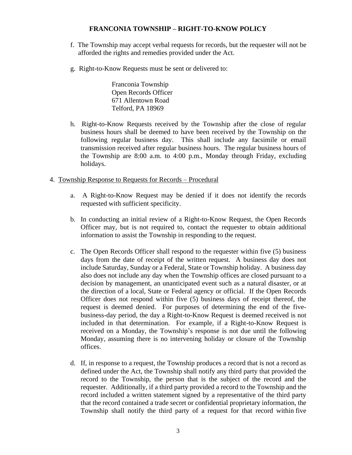- f. The Township may accept verbal requests for records, but the requester will not be afforded the rights and remedies provided under the Act.
- g. Right-to-Know Requests must be sent or delivered to:

Franconia Township Open Records Officer 671 Allentown Road Telford, PA 18969

- h. Right-to-Know Requests received by the Township after the close of regular business hours shall be deemed to have been received by the Township on the following regular business day. This shall include any facsimile or email transmission received after regular business hours. The regular business hours of the Township are 8:00 a.m. to 4:00 p.m., Monday through Friday, excluding holidays.
- 4. Township Response to Requests for Records Procedural
	- a. A Right-to-Know Request may be denied if it does not identify the records requested with sufficient specificity.
	- b. In conducting an initial review of a Right-to-Know Request, the Open Records Officer may, but is not required to, contact the requester to obtain additional information to assist the Township in responding to the request.
	- c. The Open Records Officer shall respond to the requester within five (5) business days from the date of receipt of the written request. A business day does not include Saturday, Sunday or a Federal, State or Township holiday. A business day also does not include any day when the Township offices are closed pursuant to a decision by management, an unanticipated event such as a natural disaster, or at the direction of a local, State or Federal agency or official. If the Open Records Officer does not respond within five (5) business days of receipt thereof, the request is deemed denied. For purposes of determining the end of the fivebusiness-day period, the day a Right-to-Know Request is deemed received is not included in that determination. For example, if a Right-to-Know Request is received on a Monday, the Township's response is not due until the following Monday, assuming there is no intervening holiday or closure of the Township offices.
	- d. If, in response to a request, the Township produces a record that is not a record as defined under the Act, the Township shall notify any third party that provided the record to the Township, the person that is the subject of the record and the requester. Additionally, if a third party provided a record to the Township and the record included a written statement signed by a representative of the third party that the record contained a trade secret or confidential proprietary information, the Township shall notify the third party of a request for that record within five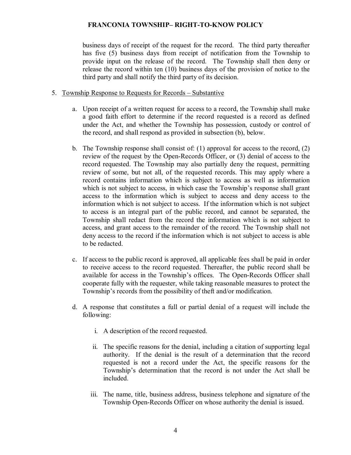business days of receipt of the request for the record. The third party thereafter has five (5) business days from receipt of notification from the Township to provide input on the release of the record. The Township shall then deny or release the record within ten (10) business days of the provision of notice to the third party and shall notify the third party of its decision.

- 5. Township Response to Requests for Records Substantive
	- a. Upon receipt of a written request for access to a record, the Township shall make a good faith effort to determine if the record requested is a record as defined under the Act, and whether the Township has possession, custody or control of the record, and shall respond as provided in subsection (b), below.
	- b. The Township response shall consist of: (1) approval for access to the record, (2) review of the request by the Open-Records Officer, or (3) denial of access to the record requested. The Township may also partially deny the request, permitting review of some, but not all, of the requested records. This may apply where a record contains information which is subject to access as well as information which is not subject to access, in which case the Township's response shall grant access to the information which is subject to access and deny access to the information which is not subject to access. If the information which is not subject to access is an integral part of the public record, and cannot be separated, the Township shall redact from the record the information which is not subject to access, and grant access to the remainder of the record. The Township shall not deny access to the record if the information which is not subject to access is able to be redacted.
	- c. If access to the public record is approved, all applicable fees shall be paid in order to receive access to the record requested. Thereafter, the public record shall be available for access in the Township's offices. The Open-Records Officer shall cooperate fully with the requester, while taking reasonable measures to protect the Township's records from the possibility of theft and/or modification.
	- d. A response that constitutes a full or partial denial of a request will include the following:
		- i. A description of the record requested.
		- ii. The specific reasons for the denial, including a citation of supporting legal authority. If the denial is the result of a determination that the record requested is not a record under the Act, the specific reasons for the Township's determination that the record is not under the Act shall be included.
		- iii. The name, title, business address, business telephone and signature of the Township Open-Records Officer on whose authority the denial is issued.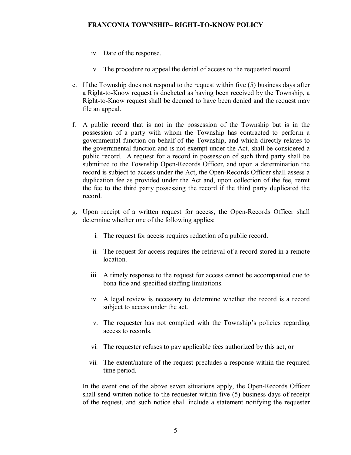- iv. Date of the response.
- v. The procedure to appeal the denial of access to the requested record.
- e. If the Township does not respond to the request within five (5) business days after a Right-to-Know request is docketed as having been received by the Township, a Right-to-Know request shall be deemed to have been denied and the request may file an appeal.
- f. A public record that is not in the possession of the Township but is in the possession of a party with whom the Township has contracted to perform a governmental function on behalf of the Township, and which directly relates to the governmental function and is not exempt under the Act, shall be considered a public record. A request for a record in possession of such third party shall be submitted to the Township Open-Records Officer, and upon a determination the record is subject to access under the Act, the Open-Records Officer shall assess a duplication fee as provided under the Act and, upon collection of the fee, remit the fee to the third party possessing the record if the third party duplicated the record.
- g. Upon receipt of a written request for access, the Open-Records Officer shall determine whether one of the following applies:
	- i. The request for access requires redaction of a public record.
	- ii. The request for access requires the retrieval of a record stored in a remote location.
	- iii. A timely response to the request for access cannot be accompanied due to bona fide and specified staffing limitations.
	- iv. A legal review is necessary to determine whether the record is a record subject to access under the act.
	- v. The requester has not complied with the Township's policies regarding access to records.
	- vi. The requester refuses to pay applicable fees authorized by this act, or
	- vii. The extent/nature of the request precludes a response within the required time period.

In the event one of the above seven situations apply, the Open-Records Officer shall send written notice to the requester within five (5) business days of receipt of the request, and such notice shall include a statement notifying the requester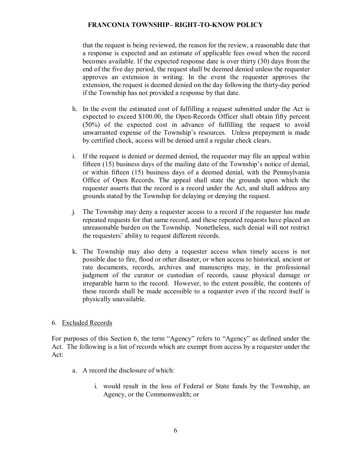that the request is being reviewed, the reason for the review, a reasonable date that a response is expected and an estimate of applicable fees owed when the record becomes available. If the expected response date is over thirty (30) days from the end of the five day period, the request shall be deemed denied unless the requester approves an extension in writing. In the event the requester approves the extension, the request is deemed denied on the day following the thirty-day period if the Township has not provided a response by that date.

- h. In the event the estimated cost of fulfilling a request submitted under the Act is expected to exceed \$100.00, the Open-Records Officer shall obtain fifty percent (50%) of the expected cost in advance of fulfilling the request to avoid unwarranted expense of the Township's resources. Unless prepayment is made by certified check, access will be denied until a regular check clears.
- i. If the request is denied or deemed denied, the requester may file an appeal within fifteen (15) business days of the mailing date of the Township's notice of denial, or within fifteen (15) business days of a deemed denial, with the Pennsylvania Office of Open Records. The appeal shall state the grounds upon which the requester asserts that the record is a record under the Act, and shall address any grounds stated by the Township for delaying or denying the request.
- j. The Township may deny a requester access to a record if the requester has made repeated requests for that same record, and these repeated requests have placed an unreasonable burden on the Township. Nonetheless, such denial will not restrict the requesters' ability to request different records.
- k. The Township may also deny a requester access when timely access is not possible due to fire, flood or other disaster, or when access to historical, ancient or rate documents, records, archives and manuscripts may, in the professional judgment of the curator or custodian of records, cause physical damage or irreparable harm to the record. However, to the extent possible, the contents of these records shall be made accessible to a requester even if the record itself is physically unavailable.

## 6. Excluded Records

For purposes of this Section 6, the term "Agency" refers to "Agency" as defined under the Act. The following is a list of records which are exempt from access by a requester under the Act:

- a. A record the disclosure of which:
	- i. would result in the loss of Federal or State funds by the Township, an Agency, or the Commonwealth; or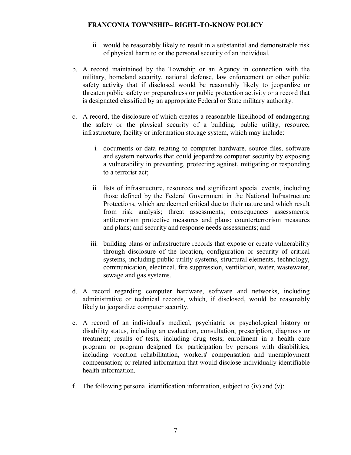- ii. would be reasonably likely to result in a substantial and demonstrable risk of physical harm to or the personal security of an individual.
- b. A record maintained by the Township or an Agency in connection with the military, homeland security, national defense, law enforcement or other public safety activity that if disclosed would be reasonably likely to jeopardize or threaten public safety or preparedness or public protection activity or a record that is designated classified by an appropriate Federal or State military authority.
- c. A record, the disclosure of which creates a reasonable likelihood of endangering the safety or the physical security of a building, public utility, resource, infrastructure, facility or information storage system, which may include:
	- i. documents or data relating to computer hardware, source files, software and system networks that could jeopardize computer security by exposing a vulnerability in preventing, protecting against, mitigating or responding to a terrorist act;
	- ii. lists of infrastructure, resources and significant special events, including those defined by the Federal Government in the National Infrastructure Protections, which are deemed critical due to their nature and which result from risk analysis; threat assessments; consequences assessments; antiterrorism protective measures and plans; counterterrorism measures and plans; and security and response needs assessments; and
	- iii. building plans or infrastructure records that expose or create vulnerability through disclosure of the location, configuration or security of critical systems, including public utility systems, structural elements, technology, communication, electrical, fire suppression, ventilation, water, wastewater, sewage and gas systems.
- d. A record regarding computer hardware, software and networks, including administrative or technical records, which, if disclosed, would be reasonably likely to jeopardize computer security.
- e. A record of an individual's medical, psychiatric or psychological history or disability status, including an evaluation, consultation, prescription, diagnosis or treatment; results of tests, including drug tests; enrollment in a health care program or program designed for participation by persons with disabilities, including vocation rehabilitation, workers' compensation and unemployment compensation; or related information that would disclose individually identifiable health information.
- f. The following personal identification information, subject to (iv) and (v):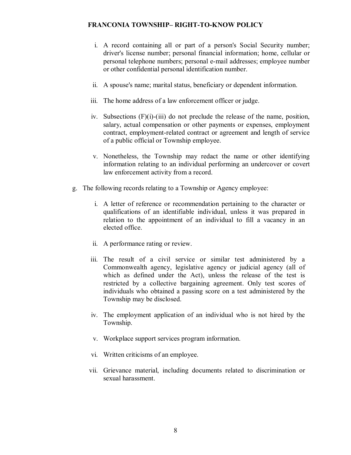- i. A record containing all or part of a person's Social Security number; driver's license number; personal financial information; home, cellular or personal telephone numbers; personal e-mail addresses; employee number or other confidential personal identification number.
- ii. A spouse's name; marital status, beneficiary or dependent information.
- iii. The home address of a law enforcement officer or judge.
- iv. Subsections  $(F)(i)-(iii)$  do not preclude the release of the name, position, salary, actual compensation or other payments or expenses, employment contract, employment-related contract or agreement and length of service of a public official or Township employee.
- v. Nonetheless, the Township may redact the name or other identifying information relating to an individual performing an undercover or covert law enforcement activity from a record.
- g. The following records relating to a Township or Agency employee:
	- i. A letter of reference or recommendation pertaining to the character or qualifications of an identifiable individual, unless it was prepared in relation to the appointment of an individual to fill a vacancy in an elected office.
	- ii. A performance rating or review.
	- iii. The result of a civil service or similar test administered by a Commonwealth agency, legislative agency or judicial agency (all of which as defined under the Act), unless the release of the test is restricted by a collective bargaining agreement. Only test scores of individuals who obtained a passing score on a test administered by the Township may be disclosed.
	- iv. The employment application of an individual who is not hired by the Township.
	- v. Workplace support services program information.
	- vi. Written criticisms of an employee.
	- vii. Grievance material, including documents related to discrimination or sexual harassment.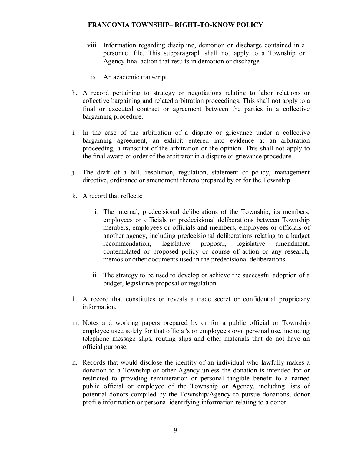- viii. Information regarding discipline, demotion or discharge contained in a personnel file. This subparagraph shall not apply to a Township or Agency final action that results in demotion or discharge.
	- ix. An academic transcript.
- h. A record pertaining to strategy or negotiations relating to labor relations or collective bargaining and related arbitration proceedings. This shall not apply to a final or executed contract or agreement between the parties in a collective bargaining procedure.
- i. In the case of the arbitration of a dispute or grievance under a collective bargaining agreement, an exhibit entered into evidence at an arbitration proceeding, a transcript of the arbitration or the opinion. This shall not apply to the final award or order of the arbitrator in a dispute or grievance procedure.
- j. The draft of a bill, resolution, regulation, statement of policy, management directive, ordinance or amendment thereto prepared by or for the Township.
- k. A record that reflects:
	- i. The internal, predecisional deliberations of the Township, its members, employees or officials or predecisional deliberations between Township members, employees or officials and members, employees or officials of another agency, including predecisional deliberations relating to a budget recommendation, legislative proposal, legislative amendment, recommendation, legislative proposal, legislative amendment, contemplated or proposed policy or course of action or any research, memos or other documents used in the predecisional deliberations.
	- ii. The strategy to be used to develop or achieve the successful adoption of a budget, legislative proposal or regulation.
- l. A record that constitutes or reveals a trade secret or confidential proprietary information.
- m. Notes and working papers prepared by or for a public official or Township employee used solely for that official's or employee's own personal use, including telephone message slips, routing slips and other materials that do not have an official purpose.
- n. Records that would disclose the identity of an individual who lawfully makes a donation to a Township or other Agency unless the donation is intended for or restricted to providing remuneration or personal tangible benefit to a named public official or employee of the Township or Agency, including lists of potential donors compiled by the Township/Agency to pursue donations, donor profile information or personal identifying information relating to a donor.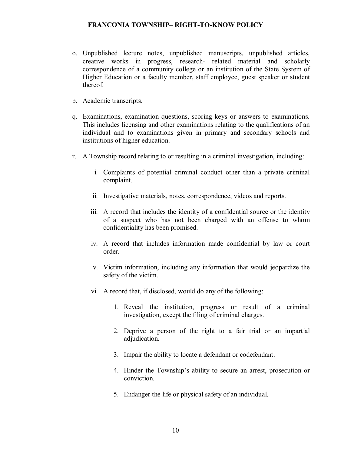- o. Unpublished lecture notes, unpublished manuscripts, unpublished articles, creative works in progress, research related material and scholarly correspondence of a community college or an institution of the State System of Higher Education or a faculty member, staff employee, guest speaker or student thereof.
- p. Academic transcripts.
- q. Examinations, examination questions, scoring keys or answers to examinations. This includes licensing and other examinations relating to the qualifications of an individual and to examinations given in primary and secondary schools and institutions of higher education.
- r. A Township record relating to or resulting in a criminal investigation, including:
	- i. Complaints of potential criminal conduct other than a private criminal complaint.
	- ii. Investigative materials, notes, correspondence, videos and reports.
	- iii. A record that includes the identity of a confidential source or the identity of a suspect who has not been charged with an offense to whom confidentiality has been promised.
	- iv. A record that includes information made confidential by law or court order.
	- v. Victim information, including any information that would jeopardize the safety of the victim.
	- vi. A record that, if disclosed, would do any of the following:
		- 1. Reveal the institution, progress or result of a criminal investigation, except the filing of criminal charges.
		- 2. Deprive a person of the right to a fair trial or an impartial adjudication.
		- 3. Impair the ability to locate a defendant or codefendant.
		- 4. Hinder the Township's ability to secure an arrest, prosecution or conviction.
		- 5. Endanger the life or physical safety of an individual.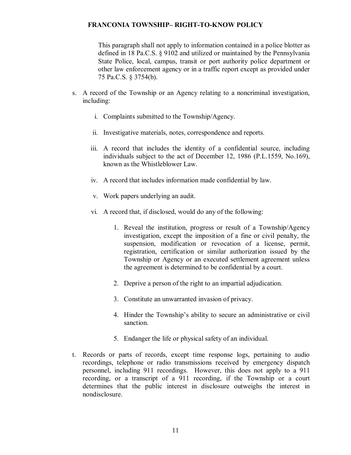This paragraph shall not apply to information contained in a police blotter as defined in 18 Pa.C.S. § 9102 and utilized or maintained by the Pennsylvania State Police, local, campus, transit or port authority police department or other law enforcement agency or in a traffic report except as provided under 75 Pa.C.S. § 3754(b).

- s. A record of the Township or an Agency relating to a noncriminal investigation, including:
	- i. Complaints submitted to the Township/Agency.
	- ii. Investigative materials, notes, correspondence and reports.
	- iii. A record that includes the identity of a confidential source, including individuals subject to the act of December 12, 1986 (P.L.1559, No.169), known as the Whistleblower Law.
	- iv. A record that includes information made confidential by law.
	- v. Work papers underlying an audit.
	- vi. A record that, if disclosed, would do any of the following:
		- 1. Reveal the institution, progress or result of a Township/Agency investigation, except the imposition of a fine or civil penalty, the suspension, modification or revocation of a license, permit, registration, certification or similar authorization issued by the Township or Agency or an executed settlement agreement unless the agreement is determined to be confidential by a court.
		- 2. Deprive a person of the right to an impartial adjudication.
		- 3. Constitute an unwarranted invasion of privacy.
		- 4. Hinder the Township's ability to secure an administrative or civil sanction.
		- 5. Endanger the life or physical safety of an individual.
- t. Records or parts of records, except time response logs, pertaining to audio recordings, telephone or radio transmissions received by emergency dispatch personnel, including 911 recordings. However, this does not apply to a 911 recording, or a transcript of a 911 recording, if the Township or a court determines that the public interest in disclosure outweighs the interest in nondisclosure.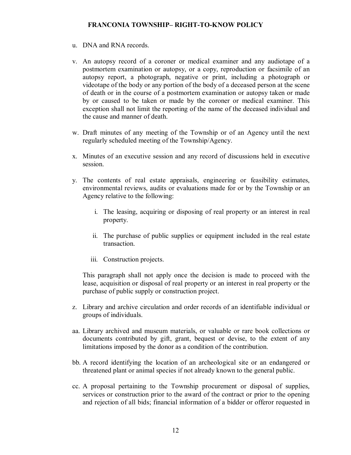- u. DNA and RNA records.
- v. An autopsy record of a coroner or medical examiner and any audiotape of a postmortem examination or autopsy, or a copy, reproduction or facsimile of an autopsy report, a photograph, negative or print, including a photograph or videotape of the body or any portion of the body of a deceased person at the scene of death or in the course of a postmortem examination or autopsy taken or made by or caused to be taken or made by the coroner or medical examiner. This exception shall not limit the reporting of the name of the deceased individual and the cause and manner of death.
- w. Draft minutes of any meeting of the Township or of an Agency until the next regularly scheduled meeting of the Township/Agency.
- x. Minutes of an executive session and any record of discussions held in executive session.
- y. The contents of real estate appraisals, engineering or feasibility estimates, environmental reviews, audits or evaluations made for or by the Township or an Agency relative to the following:
	- i. The leasing, acquiring or disposing of real property or an interest in real property.
	- ii. The purchase of public supplies or equipment included in the real estate transaction.
	- iii. Construction projects.

This paragraph shall not apply once the decision is made to proceed with the lease, acquisition or disposal of real property or an interest in real property or the purchase of public supply or construction project.

- z. Library and archive circulation and order records of an identifiable individual or groups of individuals.
- aa. Library archived and museum materials, or valuable or rare book collections or documents contributed by gift, grant, bequest or devise, to the extent of any limitations imposed by the donor as a condition of the contribution.
- bb. A record identifying the location of an archeological site or an endangered or threatened plant or animal species if not already known to the general public.
- cc. A proposal pertaining to the Township procurement or disposal of supplies, services or construction prior to the award of the contract or prior to the opening and rejection of all bids; financial information of a bidder or offeror requested in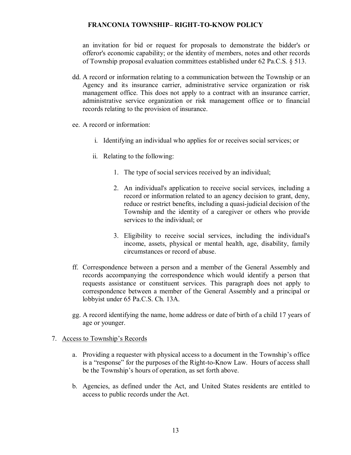an invitation for bid or request for proposals to demonstrate the bidder's or offeror's economic capability; or the identity of members, notes and other records of Township proposal evaluation committees established under 62 Pa.C.S. § 513.

- dd. A record or information relating to a communication between the Township or an Agency and its insurance carrier, administrative service organization or risk management office. This does not apply to a contract with an insurance carrier, administrative service organization or risk management office or to financial records relating to the provision of insurance.
- ee. A record or information:
	- i. Identifying an individual who applies for or receives social services; or
	- ii. Relating to the following:
		- 1. The type of social services received by an individual;
		- 2. An individual's application to receive social services, including a record or information related to an agency decision to grant, deny, reduce or restrict benefits, including a quasi-judicial decision of the Township and the identity of a caregiver or others who provide services to the individual; or
		- 3. Eligibility to receive social services, including the individual's income, assets, physical or mental health, age, disability, family circumstances or record of abuse.
- ff. Correspondence between a person and a member of the General Assembly and records accompanying the correspondence which would identify a person that requests assistance or constituent services. This paragraph does not apply to correspondence between a member of the General Assembly and a principal or lobbyist under 65 Pa.C.S. Ch. 13A.
- gg. A record identifying the name, home address or date of birth of a child 17 years of age or younger.
- 7. Access to Township's Records
	- a. Providing a requester with physical access to a document in the Township's office is a "response" for the purposes of the Right-to-Know Law. Hours of access shall be the Township's hours of operation, as set forth above.
	- b. Agencies, as defined under the Act, and United States residents are entitled to access to public records under the Act.